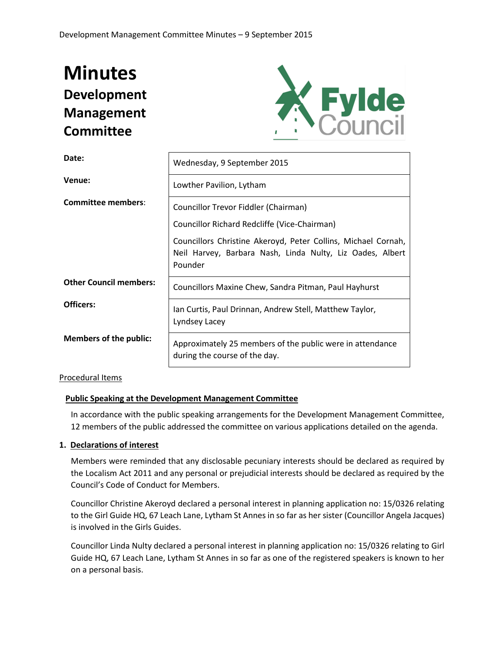# **Minutes Development Management Committee**



| Date:                         | Wednesday, 9 September 2015                                                                                                           |  |
|-------------------------------|---------------------------------------------------------------------------------------------------------------------------------------|--|
| Venue:                        | Lowther Pavilion, Lytham                                                                                                              |  |
| <b>Committee members:</b>     | Councillor Trevor Fiddler (Chairman)<br>Councillor Richard Redcliffe (Vice-Chairman)                                                  |  |
|                               | Councillors Christine Akeroyd, Peter Collins, Michael Cornah,<br>Neil Harvey, Barbara Nash, Linda Nulty, Liz Oades, Albert<br>Pounder |  |
| <b>Other Council members:</b> | Councillors Maxine Chew, Sandra Pitman, Paul Hayhurst                                                                                 |  |
| Officers:                     | Ian Curtis, Paul Drinnan, Andrew Stell, Matthew Taylor,<br>Lyndsey Lacey                                                              |  |
| <b>Members of the public:</b> | Approximately 25 members of the public were in attendance<br>during the course of the day.                                            |  |

## Procedural Items

## **Public Speaking at the Development Management Committee**

In accordance with the public speaking arrangements for the Development Management Committee, 12 members of the public addressed the committee on various applications detailed on the agenda.

#### **1. Declarations of interest**

Members were reminded that any disclosable pecuniary interests should be declared as required by the Localism Act 2011 and any personal or prejudicial interests should be declared as required by the Council's Code of Conduct for Members.

Councillor Christine Akeroyd declared a personal interest in planning application no: 15/0326 relating to the Girl Guide HQ, 67 Leach Lane, Lytham St Annes in so far as her sister (Councillor Angela Jacques) is involved in the Girls Guides.

Councillor Linda Nulty declared a personal interest in planning application no: 15/0326 relating to Girl Guide HQ, 67 Leach Lane, Lytham St Annes in so far as one of the registered speakers is known to her on a personal basis.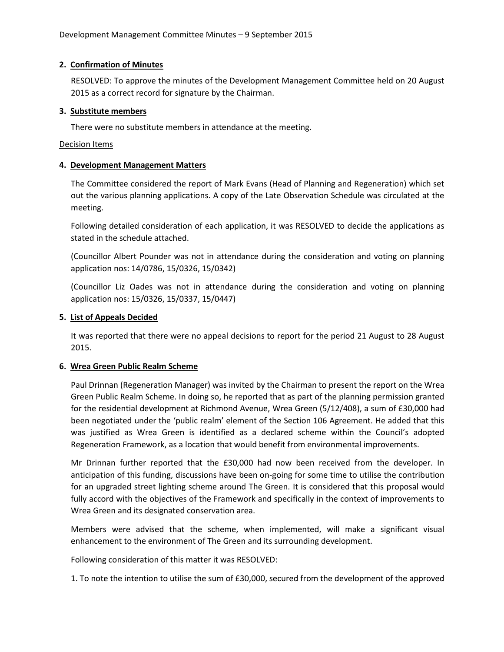## **2. Confirmation of Minutes**

RESOLVED: To approve the minutes of the Development Management Committee held on 20 August 2015 as a correct record for signature by the Chairman.

## **3. Substitute members**

There were no substitute members in attendance at the meeting.

## Decision Items

## **4. Development Management Matters**

The Committee considered the report of Mark Evans (Head of Planning and Regeneration) which set out the various planning applications. A copy of the Late Observation Schedule was circulated at the meeting.

Following detailed consideration of each application, it was RESOLVED to decide the applications as stated in the schedule attached.

(Councillor Albert Pounder was not in attendance during the consideration and voting on planning application nos: 14/0786, 15/0326, 15/0342)

(Councillor Liz Oades was not in attendance during the consideration and voting on planning application nos: 15/0326, 15/0337, 15/0447)

## **5. List of Appeals Decided**

It was reported that there were no appeal decisions to report for the period 21 August to 28 August 2015.

## **6. Wrea Green Public Realm Scheme**

Paul Drinnan (Regeneration Manager) was invited by the Chairman to present the report on the Wrea Green Public Realm Scheme. In doing so, he reported that as part of the planning permission granted for the residential development at Richmond Avenue, Wrea Green (5/12/408), a sum of £30,000 had been negotiated under the 'public realm' element of the Section 106 Agreement. He added that this was justified as Wrea Green is identified as a declared scheme within the Council's adopted Regeneration Framework, as a location that would benefit from environmental improvements.

Mr Drinnan further reported that the £30,000 had now been received from the developer. In anticipation of this funding, discussions have been on-going for some time to utilise the contribution for an upgraded street lighting scheme around The Green. It is considered that this proposal would fully accord with the objectives of the Framework and specifically in the context of improvements to Wrea Green and its designated conservation area.

Members were advised that the scheme, when implemented, will make a significant visual enhancement to the environment of The Green and its surrounding development.

Following consideration of this matter it was RESOLVED:

1. To note the intention to utilise the sum of £30,000, secured from the development of the approved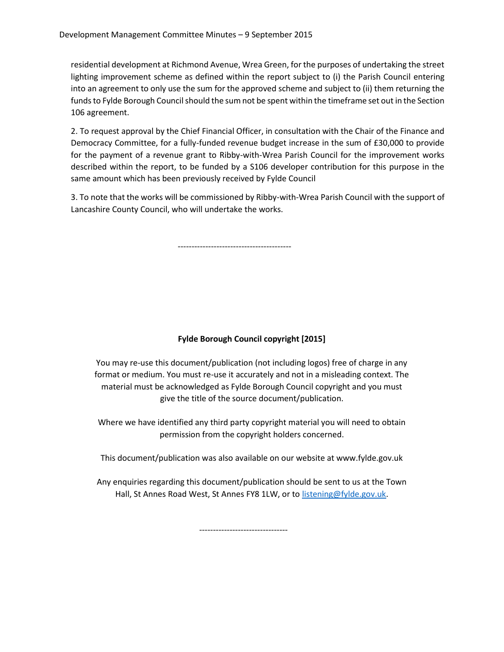residential development at Richmond Avenue, Wrea Green, for the purposes of undertaking the street lighting improvement scheme as defined within the report subject to (i) the Parish Council entering into an agreement to only use the sum for the approved scheme and subject to (ii) them returning the funds to Fylde Borough Council should the sum not be spent within the timeframe set out in the Section 106 agreement.

2. To request approval by the Chief Financial Officer, in consultation with the Chair of the Finance and Democracy Committee, for a fully-funded revenue budget increase in the sum of £30,000 to provide for the payment of a revenue grant to Ribby-with-Wrea Parish Council for the improvement works described within the report, to be funded by a S106 developer contribution for this purpose in the same amount which has been previously received by Fylde Council

3. To note that the works will be commissioned by Ribby-with-Wrea Parish Council with the support of Lancashire County Council, who will undertake the works.

-----------------------------------------

## **Fylde Borough Council copyright [2015]**

You may re-use this document/publication (not including logos) free of charge in any format or medium. You must re-use it accurately and not in a misleading context. The material must be acknowledged as Fylde Borough Council copyright and you must give the title of the source document/publication.

Where we have identified any third party copyright material you will need to obtain permission from the copyright holders concerned.

This document/publication was also available on our website at www.fylde.gov.uk

Any enquiries regarding this document/publication should be sent to us at the Town Hall, St Annes Road West, St Annes FY8 1LW, or to [listening@fylde.gov.uk.](mailto:listening@fylde.gov.uk)

--------------------------------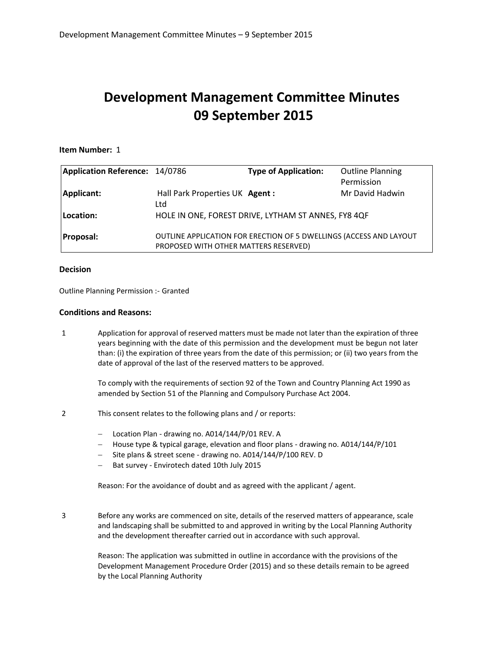## **Development Management Committee Minutes 09 September 2015**

#### **Item Number:** 1

| Application Reference: 14/0786 |                                        | <b>Type of Application:</b>                                        | <b>Outline Planning</b> |
|--------------------------------|----------------------------------------|--------------------------------------------------------------------|-------------------------|
|                                |                                        |                                                                    | Permission              |
| Applicant:                     | Hall Park Properties UK Agent :<br>Ltd |                                                                    | Mr David Hadwin         |
| Location:                      |                                        | HOLE IN ONE, FOREST DRIVE, LYTHAM ST ANNES, FY8 4QF                |                         |
| <b>Proposal:</b>               | PROPOSED WITH OTHER MATTERS RESERVED)  | OUTLINE APPLICATION FOR ERECTION OF 5 DWELLINGS (ACCESS AND LAYOUT |                         |

#### **Decision**

Outline Planning Permission :- Granted

#### **Conditions and Reasons:**

1 Application for approval of reserved matters must be made not later than the expiration of three years beginning with the date of this permission and the development must be begun not later than: (i) the expiration of three years from the date of this permission; or (ii) two years from the date of approval of the last of the reserved matters to be approved.

> To comply with the requirements of section 92 of the Town and Country Planning Act 1990 as amended by Section 51 of the Planning and Compulsory Purchase Act 2004.

- 2 This consent relates to the following plans and / or reports:
	- Location Plan drawing no. A014/144/P/01 REV. A
	- House type & typical garage, elevation and floor plans drawing no. A014/144/P/101
	- Site plans & street scene drawing no. A014/144/P/100 REV. D
	- Bat survey Envirotech dated 10th July 2015

Reason: For the avoidance of doubt and as agreed with the applicant / agent.

3 Before any works are commenced on site, details of the reserved matters of appearance, scale and landscaping shall be submitted to and approved in writing by the Local Planning Authority and the development thereafter carried out in accordance with such approval.

> Reason: The application was submitted in outline in accordance with the provisions of the Development Management Procedure Order (2015) and so these details remain to be agreed by the Local Planning Authority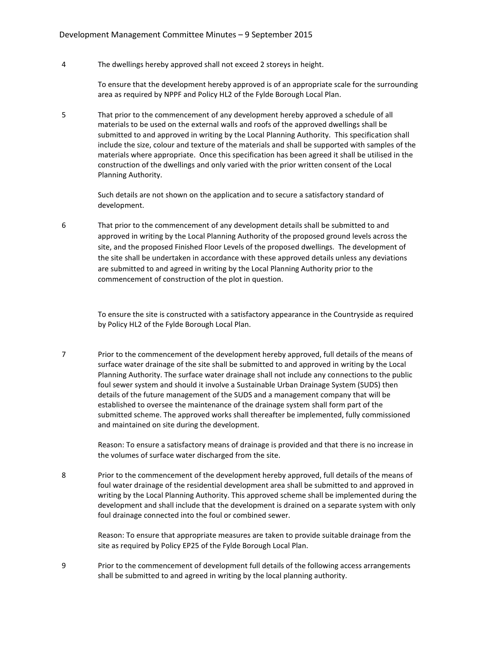4 The dwellings hereby approved shall not exceed 2 storeys in height.

To ensure that the development hereby approved is of an appropriate scale for the surrounding area as required by NPPF and Policy HL2 of the Fylde Borough Local Plan.

5 That prior to the commencement of any development hereby approved a schedule of all materials to be used on the external walls and roofs of the approved dwellings shall be submitted to and approved in writing by the Local Planning Authority. This specification shall include the size, colour and texture of the materials and shall be supported with samples of the materials where appropriate. Once this specification has been agreed it shall be utilised in the construction of the dwellings and only varied with the prior written consent of the Local Planning Authority.

> Such details are not shown on the application and to secure a satisfactory standard of development.

6 That prior to the commencement of any development details shall be submitted to and approved in writing by the Local Planning Authority of the proposed ground levels across the site, and the proposed Finished Floor Levels of the proposed dwellings. The development of the site shall be undertaken in accordance with these approved details unless any deviations are submitted to and agreed in writing by the Local Planning Authority prior to the commencement of construction of the plot in question.

> To ensure the site is constructed with a satisfactory appearance in the Countryside as required by Policy HL2 of the Fylde Borough Local Plan.

7 Prior to the commencement of the development hereby approved, full details of the means of surface water drainage of the site shall be submitted to and approved in writing by the Local Planning Authority. The surface water drainage shall not include any connections to the public foul sewer system and should it involve a Sustainable Urban Drainage System (SUDS) then details of the future management of the SUDS and a management company that will be established to oversee the maintenance of the drainage system shall form part of the submitted scheme. The approved works shall thereafter be implemented, fully commissioned and maintained on site during the development.

> Reason: To ensure a satisfactory means of drainage is provided and that there is no increase in the volumes of surface water discharged from the site.

8 Prior to the commencement of the development hereby approved, full details of the means of foul water drainage of the residential development area shall be submitted to and approved in writing by the Local Planning Authority. This approved scheme shall be implemented during the development and shall include that the development is drained on a separate system with only foul drainage connected into the foul or combined sewer.

> Reason: To ensure that appropriate measures are taken to provide suitable drainage from the site as required by Policy EP25 of the Fylde Borough Local Plan.

9 Prior to the commencement of development full details of the following access arrangements shall be submitted to and agreed in writing by the local planning authority.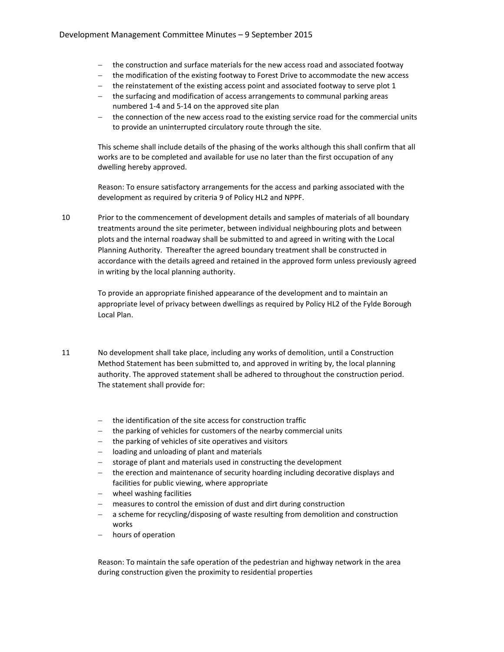- the construction and surface materials for the new access road and associated footway
- the modification of the existing footway to Forest Drive to accommodate the new access
- $-$  the reinstatement of the existing access point and associated footway to serve plot 1
- the surfacing and modification of access arrangements to communal parking areas numbered 1-4 and 5-14 on the approved site plan
- the connection of the new access road to the existing service road for the commercial units to provide an uninterrupted circulatory route through the site.

This scheme shall include details of the phasing of the works although this shall confirm that all works are to be completed and available for use no later than the first occupation of any dwelling hereby approved.

Reason: To ensure satisfactory arrangements for the access and parking associated with the development as required by criteria 9 of Policy HL2 and NPPF.

10 Prior to the commencement of development details and samples of materials of all boundary treatments around the site perimeter, between individual neighbouring plots and between plots and the internal roadway shall be submitted to and agreed in writing with the Local Planning Authority. Thereafter the agreed boundary treatment shall be constructed in accordance with the details agreed and retained in the approved form unless previously agreed in writing by the local planning authority.

> To provide an appropriate finished appearance of the development and to maintain an appropriate level of privacy between dwellings as required by Policy HL2 of the Fylde Borough Local Plan.

- 11 No development shall take place, including any works of demolition, until a Construction Method Statement has been submitted to, and approved in writing by, the local planning authority. The approved statement shall be adhered to throughout the construction period. The statement shall provide for:
	- the identification of the site access for construction traffic
	- the parking of vehicles for customers of the nearby commercial units
	- the parking of vehicles of site operatives and visitors
	- loading and unloading of plant and materials
	- storage of plant and materials used in constructing the development
	- the erection and maintenance of security hoarding including decorative displays and facilities for public viewing, where appropriate
	- wheel washing facilities
	- measures to control the emission of dust and dirt during construction
	- a scheme for recycling/disposing of waste resulting from demolition and construction works
	- hours of operation

Reason: To maintain the safe operation of the pedestrian and highway network in the area during construction given the proximity to residential properties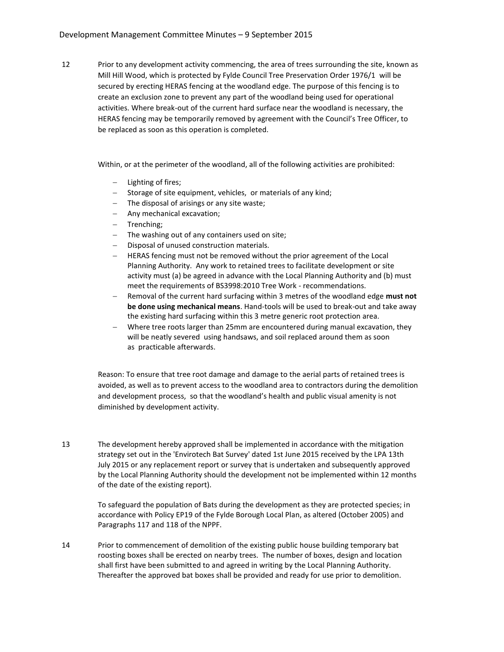12 Prior to any development activity commencing, the area of trees surrounding the site, known as Mill Hill Wood, which is protected by Fylde Council Tree Preservation Order 1976/1 will be secured by erecting HERAS fencing at the woodland edge. The purpose of this fencing is to create an exclusion zone to prevent any part of the woodland being used for operational activities. Where break-out of the current hard surface near the woodland is necessary, the HERAS fencing may be temporarily removed by agreement with the Council's Tree Officer, to be replaced as soon as this operation is completed.

Within, or at the perimeter of the woodland, all of the following activities are prohibited:

- Lighting of fires;
- Storage of site equipment, vehicles, or materials of any kind;
- The disposal of arisings or any site waste;
- Any mechanical excavation;
- Trenching;
- The washing out of any containers used on site;
- Disposal of unused construction materials.
- HERAS fencing must not be removed without the prior agreement of the Local Planning Authority. Any work to retained trees to facilitate development or site activity must (a) be agreed in advance with the Local Planning Authority and (b) must meet the requirements of BS3998:2010 Tree Work - recommendations.
- Removal of the current hard surfacing within 3 metres of the woodland edge **must not be done using mechanical means**. Hand-tools will be used to break-out and take away the existing hard surfacing within this 3 metre generic root protection area.
- Where tree roots larger than 25mm are encountered during manual excavation, they will be neatly severed using handsaws, and soil replaced around them as soon as practicable afterwards.

Reason: To ensure that tree root damage and damage to the aerial parts of retained trees is avoided, as well as to prevent access to the woodland area to contractors during the demolition and development process, so that the woodland's health and public visual amenity is not diminished by development activity.

13 The development hereby approved shall be implemented in accordance with the mitigation strategy set out in the 'Envirotech Bat Survey' dated 1st June 2015 received by the LPA 13th July 2015 or any replacement report or survey that is undertaken and subsequently approved by the Local Planning Authority should the development not be implemented within 12 months of the date of the existing report).

> To safeguard the population of Bats during the development as they are protected species; in accordance with Policy EP19 of the Fylde Borough Local Plan, as altered (October 2005) and Paragraphs 117 and 118 of the NPPF.

14 Prior to commencement of demolition of the existing public house building temporary bat roosting boxes shall be erected on nearby trees. The number of boxes, design and location shall first have been submitted to and agreed in writing by the Local Planning Authority. Thereafter the approved bat boxes shall be provided and ready for use prior to demolition.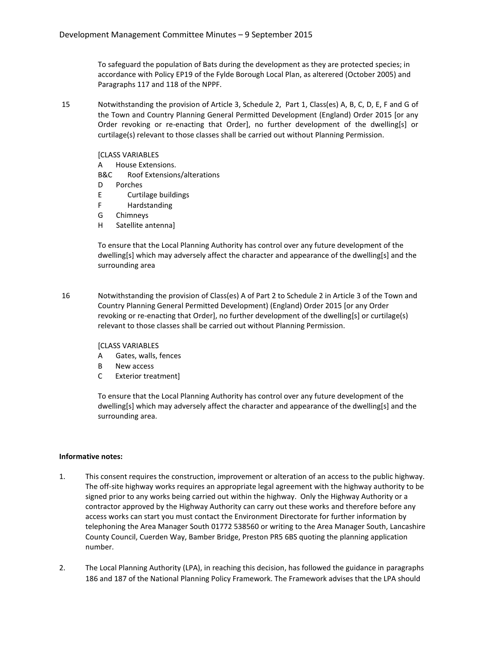To safeguard the population of Bats during the development as they are protected species; in accordance with Policy EP19 of the Fylde Borough Local Plan, as alterered (October 2005) and Paragraphs 117 and 118 of the NPPF.

15 Notwithstanding the provision of Article 3, Schedule 2, Part 1, Class(es) A, B, C, D, E, F and G of the Town and Country Planning General Permitted Development (England) Order 2015 [or any Order revoking or re-enacting that Order], no further development of the dwelling[s] or curtilage(s) relevant to those classes shall be carried out without Planning Permission.

[CLASS VARIABLES

- A House Extensions.
- B&C Roof Extensions/alterations
- D Porches
- E Curtilage buildings
- F Hardstanding
- G Chimneys
- H Satellite antenna]

To ensure that the Local Planning Authority has control over any future development of the dwelling[s] which may adversely affect the character and appearance of the dwelling[s] and the surrounding area

16 Notwithstanding the provision of Class(es) A of Part 2 to Schedule 2 in Article 3 of the Town and Country Planning General Permitted Development) (England) Order 2015 [or any Order revoking or re-enacting that Order], no further development of the dwelling[s] or curtilage(s) relevant to those classes shall be carried out without Planning Permission.

[CLASS VARIABLES

- A Gates, walls, fences
- B New access
- C Exterior treatment]

To ensure that the Local Planning Authority has control over any future development of the dwelling[s] which may adversely affect the character and appearance of the dwelling[s] and the surrounding area.

#### **Informative notes:**

- 1. This consent requires the construction, improvement or alteration of an access to the public highway. The off-site highway works requires an appropriate legal agreement with the highway authority to be signed prior to any works being carried out within the highway. Only the Highway Authority or a contractor approved by the Highway Authority can carry out these works and therefore before any access works can start you must contact the Environment Directorate for further information by telephoning the Area Manager South 01772 538560 or writing to the Area Manager South, Lancashire County Council, Cuerden Way, Bamber Bridge, Preston PR5 6BS quoting the planning application number.
- 2. The Local Planning Authority (LPA), in reaching this decision, has followed the guidance in paragraphs 186 and 187 of the National Planning Policy Framework. The Framework advises that the LPA should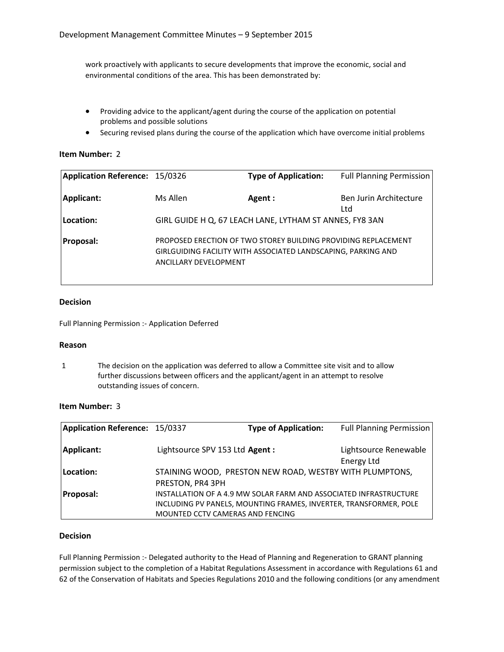work proactively with applicants to secure developments that improve the economic, social and environmental conditions of the area. This has been demonstrated by:

- Providing advice to the applicant/agent during the course of the application on potential problems and possible solutions
- Securing revised plans during the course of the application which have overcome initial problems

#### **Item Number:** 2

| Application Reference: 15/0326 |                       | <b>Type of Application:</b>                                                                                                     | <b>Full Planning Permission</b> |
|--------------------------------|-----------------------|---------------------------------------------------------------------------------------------------------------------------------|---------------------------------|
| Applicant:                     | Ms Allen              | Agent :                                                                                                                         | Ben Jurin Architecture<br>Ltd   |
| Location:                      |                       | GIRL GUIDE H Q, 67 LEACH LANE, LYTHAM ST ANNES, FY8 3AN                                                                         |                                 |
| <b>Proposal:</b>               | ANCILLARY DEVELOPMENT | PROPOSED ERECTION OF TWO STOREY BUILDING PROVIDING REPLACEMENT<br>GIRLGUIDING FACILITY WITH ASSOCIATED LANDSCAPING, PARKING AND |                                 |

#### **Decision**

Full Planning Permission :- Application Deferred

#### **Reason**

1 The decision on the application was deferred to allow a Committee site visit and to allow further discussions between officers and the applicant/agent in an attempt to resolve outstanding issues of concern.

#### **Item Number:** 3

| Application Reference: 15/0337 |                                  | <b>Type of Application:</b>                                       | <b>Full Planning Permission</b> |
|--------------------------------|----------------------------------|-------------------------------------------------------------------|---------------------------------|
|                                |                                  |                                                                   |                                 |
| Applicant:                     | Lightsource SPV 153 Ltd Agent :  |                                                                   | Lightsource Renewable           |
|                                |                                  |                                                                   | Energy Ltd                      |
| Location:                      |                                  | STAINING WOOD, PRESTON NEW ROAD, WESTBY WITH PLUMPTONS,           |                                 |
|                                | PRESTON, PR4 3PH                 |                                                                   |                                 |
| <b>Proposal:</b>               |                                  | INSTALLATION OF A 4.9 MW SOLAR FARM AND ASSOCIATED INFRASTRUCTURE |                                 |
|                                |                                  | INCLUDING PV PANELS, MOUNTING FRAMES, INVERTER, TRANSFORMER, POLE |                                 |
|                                | MOUNTED CCTV CAMERAS AND FENCING |                                                                   |                                 |

### **Decision**

Full Planning Permission :- Delegated authority to the Head of Planning and Regeneration to GRANT planning permission subject to the completion of a Habitat Regulations Assessment in accordance with Regulations 61 and 62 of the Conservation of Habitats and Species Regulations 2010 and the following conditions (or any amendment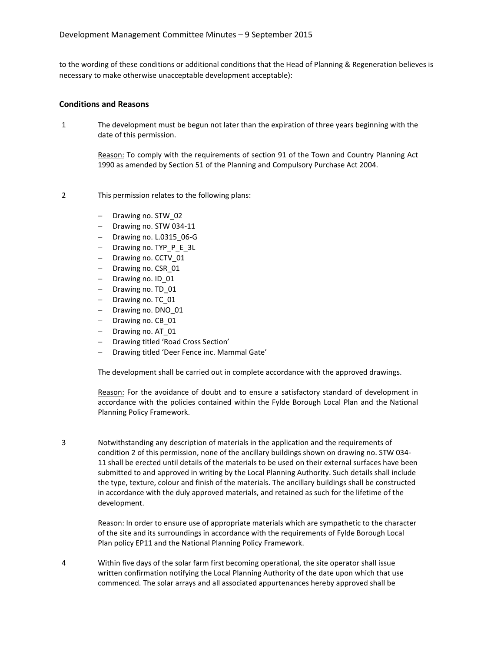to the wording of these conditions or additional conditions that the Head of Planning & Regeneration believes is necessary to make otherwise unacceptable development acceptable):

#### **Conditions and Reasons**

1 The development must be begun not later than the expiration of three years beginning with the date of this permission.

> Reason: To comply with the requirements of section 91 of the Town and Country Planning Act 1990 as amended by Section 51 of the Planning and Compulsory Purchase Act 2004.

- 2 This permission relates to the following plans:
	- Drawing no. STW\_02
	- Drawing no. STW 034-11
	- Drawing no. L.0315\_06-G
	- Drawing no. TYP\_P\_E\_3L
	- Drawing no. CCTV\_01
	- Drawing no. CSR\_01
	- Drawing no. ID 01
	- $-$  Drawing no. TD 01
	- Drawing no. TC\_01
	- $-$  Drawing no. DNO 01
	- Drawing no. CB\_01
	- Drawing no. AT 01
	- Drawing titled 'Road Cross Section'
	- Drawing titled 'Deer Fence inc. Mammal Gate'

The development shall be carried out in complete accordance with the approved drawings.

Reason: For the avoidance of doubt and to ensure a satisfactory standard of development in accordance with the policies contained within the Fylde Borough Local Plan and the National Planning Policy Framework.

3 Notwithstanding any description of materials in the application and the requirements of condition 2 of this permission, none of the ancillary buildings shown on drawing no. STW 034- 11 shall be erected until details of the materials to be used on their external surfaces have been submitted to and approved in writing by the Local Planning Authority. Such details shall include the type, texture, colour and finish of the materials. The ancillary buildings shall be constructed in accordance with the duly approved materials, and retained as such for the lifetime of the development.

> Reason: In order to ensure use of appropriate materials which are sympathetic to the character of the site and its surroundings in accordance with the requirements of Fylde Borough Local Plan policy EP11 and the National Planning Policy Framework.

4 Within five days of the solar farm first becoming operational, the site operator shall issue written confirmation notifying the Local Planning Authority of the date upon which that use commenced. The solar arrays and all associated appurtenances hereby approved shall be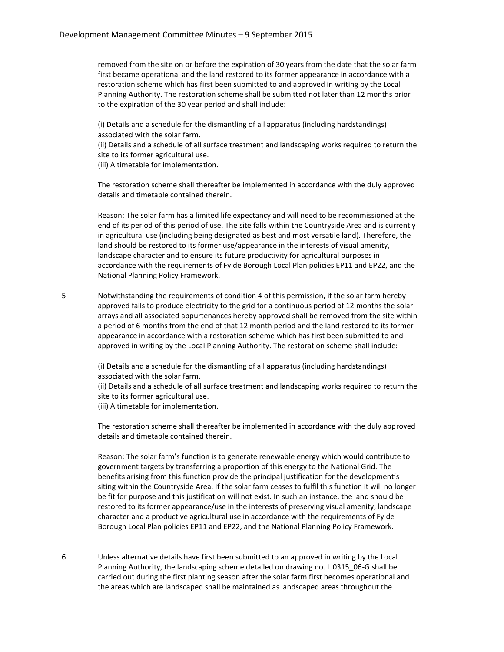removed from the site on or before the expiration of 30 years from the date that the solar farm first became operational and the land restored to its former appearance in accordance with a restoration scheme which has first been submitted to and approved in writing by the Local Planning Authority. The restoration scheme shall be submitted not later than 12 months prior to the expiration of the 30 year period and shall include:

(i) Details and a schedule for the dismantling of all apparatus (including hardstandings) associated with the solar farm.

(ii) Details and a schedule of all surface treatment and landscaping works required to return the site to its former agricultural use.

(iii) A timetable for implementation.

The restoration scheme shall thereafter be implemented in accordance with the duly approved details and timetable contained therein.

Reason: The solar farm has a limited life expectancy and will need to be recommissioned at the end of its period of this period of use. The site falls within the Countryside Area and is currently in agricultural use (including being designated as best and most versatile land). Therefore, the land should be restored to its former use/appearance in the interests of visual amenity, landscape character and to ensure its future productivity for agricultural purposes in accordance with the requirements of Fylde Borough Local Plan policies EP11 and EP22, and the National Planning Policy Framework.

5 Notwithstanding the requirements of condition 4 of this permission, if the solar farm hereby approved fails to produce electricity to the grid for a continuous period of 12 months the solar arrays and all associated appurtenances hereby approved shall be removed from the site within a period of 6 months from the end of that 12 month period and the land restored to its former appearance in accordance with a restoration scheme which has first been submitted to and approved in writing by the Local Planning Authority. The restoration scheme shall include:

> (i) Details and a schedule for the dismantling of all apparatus (including hardstandings) associated with the solar farm.

(ii) Details and a schedule of all surface treatment and landscaping works required to return the site to its former agricultural use.

(iii) A timetable for implementation.

The restoration scheme shall thereafter be implemented in accordance with the duly approved details and timetable contained therein.

Reason: The solar farm's function is to generate renewable energy which would contribute to government targets by transferring a proportion of this energy to the National Grid. The benefits arising from this function provide the principal justification for the development's siting within the Countryside Area. If the solar farm ceases to fulfil this function it will no longer be fit for purpose and this justification will not exist. In such an instance, the land should be restored to its former appearance/use in the interests of preserving visual amenity, landscape character and a productive agricultural use in accordance with the requirements of Fylde Borough Local Plan policies EP11 and EP22, and the National Planning Policy Framework.

6 Unless alternative details have first been submitted to an approved in writing by the Local Planning Authority, the landscaping scheme detailed on drawing no. L.0315\_06-G shall be carried out during the first planting season after the solar farm first becomes operational and the areas which are landscaped shall be maintained as landscaped areas throughout the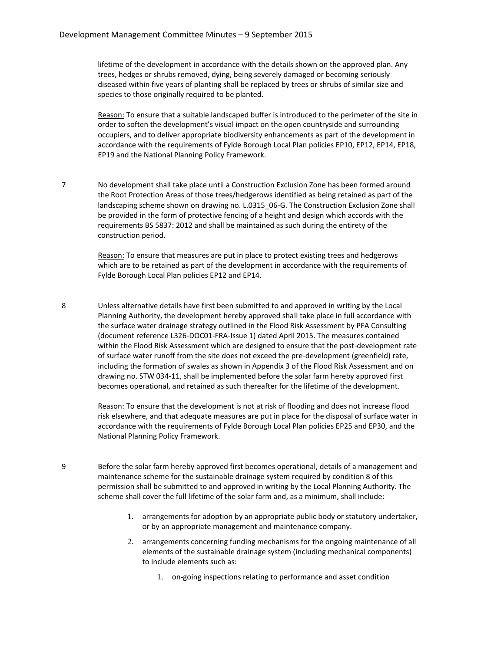lifetime of the development in accordance with the details shown on the approved plan. Any trees, hedges or shrubs removed, dying, being severely damaged or becoming seriously diseased within five years of planting shall be replaced by trees or shrubs of similar size and species to those originally required to be planted.

Reason: To ensure that a suitable landscaped buffer is introduced to the perimeter of the site in order to soften the development's visual impact on the open countryside and surrounding occupiers, and to deliver appropriate biodiversity enhancements as part of the development in accordance with the requirements of Fylde Borough Local Plan policies EP10, EP12, EP14, EP18, EP19 and the National Planning Policy Framework.

7 No development shall take place until a Construction Exclusion Zone has been formed around the Root Protection Areas of those trees/hedgerows identified as being retained as part of the landscaping scheme shown on drawing no. L.0315 06-G. The Construction Exclusion Zone shall be provided in the form of protective fencing of a height and design which accords with the requirements BS 5837: 2012 and shall be maintained as such during the entirety of the construction period.

> Reason: To ensure that measures are put in place to protect existing trees and hedgerows which are to be retained as part of the development in accordance with the requirements of Fylde Borough Local Plan policies EP12 and EP14.

8 Unless alternative details have first been submitted to and approved in writing by the Local Planning Authority, the development hereby approved shall take place in full accordance with the surface water drainage strategy outlined in the Flood Risk Assessment by PFA Consulting (document reference L326-DOC01-FRA-Issue 1) dated April 2015. The measures contained within the Flood Risk Assessment which are designed to ensure that the post-development rate of surface water runoff from the site does not exceed the pre-development (greenfield) rate, including the formation of swales as shown in Appendix 3 of the Flood Risk Assessment and on drawing no. STW 034-11, shall be implemented before the solar farm hereby approved first becomes operational, and retained as such thereafter for the lifetime of the development.

> Reason: To ensure that the development is not at risk of flooding and does not increase flood risk elsewhere, and that adequate measures are put in place for the disposal of surface water in accordance with the requirements of Fylde Borough Local Plan policies EP25 and EP30, and the National Planning Policy Framework.

- 9 Before the solar farm hereby approved first becomes operational, details of a management and maintenance scheme for the sustainable drainage system required by condition 8 of this permission shall be submitted to and approved in writing by the Local Planning Authority. The scheme shall cover the full lifetime of the solar farm and, as a minimum, shall include:
	- 1. arrangements for adoption by an appropriate public body or statutory undertaker, or by an appropriate management and maintenance company.
	- 2. arrangements concerning funding mechanisms for the ongoing maintenance of all elements of the sustainable drainage system (including mechanical components) to include elements such as:
		- 1. on-going inspections relating to performance and asset condition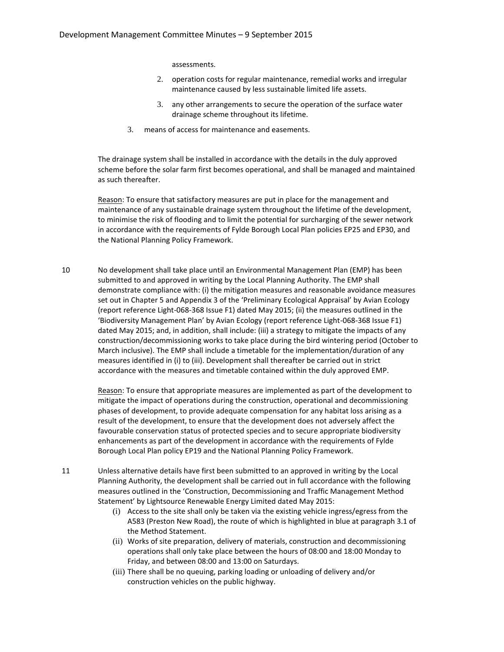assessments.

- 2. operation costs for regular maintenance, remedial works and irregular maintenance caused by less sustainable limited life assets.
- 3. any other arrangements to secure the operation of the surface water drainage scheme throughout its lifetime.
- 3. means of access for maintenance and easements.

The drainage system shall be installed in accordance with the details in the duly approved scheme before the solar farm first becomes operational, and shall be managed and maintained as such thereafter.

Reason: To ensure that satisfactory measures are put in place for the management and maintenance of any sustainable drainage system throughout the lifetime of the development, to minimise the risk of flooding and to limit the potential for surcharging of the sewer network in accordance with the requirements of Fylde Borough Local Plan policies EP25 and EP30, and the National Planning Policy Framework.

10 No development shall take place until an Environmental Management Plan (EMP) has been submitted to and approved in writing by the Local Planning Authority. The EMP shall demonstrate compliance with: (i) the mitigation measures and reasonable avoidance measures set out in Chapter 5 and Appendix 3 of the 'Preliminary Ecological Appraisal' by Avian Ecology (report reference Light-068-368 Issue F1) dated May 2015; (ii) the measures outlined in the 'Biodiversity Management Plan' by Avian Ecology (report reference Light-068-368 Issue F1) dated May 2015; and, in addition, shall include: (iii) a strategy to mitigate the impacts of any construction/decommissioning works to take place during the bird wintering period (October to March inclusive). The EMP shall include a timetable for the implementation/duration of any measures identified in (i) to (iii). Development shall thereafter be carried out in strict accordance with the measures and timetable contained within the duly approved EMP.

> Reason: To ensure that appropriate measures are implemented as part of the development to mitigate the impact of operations during the construction, operational and decommissioning phases of development, to provide adequate compensation for any habitat loss arising as a result of the development, to ensure that the development does not adversely affect the favourable conservation status of protected species and to secure appropriate biodiversity enhancements as part of the development in accordance with the requirements of Fylde Borough Local Plan policy EP19 and the National Planning Policy Framework.

- 11 Unless alternative details have first been submitted to an approved in writing by the Local Planning Authority, the development shall be carried out in full accordance with the following measures outlined in the 'Construction, Decommissioning and Traffic Management Method Statement' by Lightsource Renewable Energy Limited dated May 2015:
	- (i) Access to the site shall only be taken via the existing vehicle ingress/egress from the A583 (Preston New Road), the route of which is highlighted in blue at paragraph 3.1 of the Method Statement.
	- (ii) Works of site preparation, delivery of materials, construction and decommissioning operations shall only take place between the hours of 08:00 and 18:00 Monday to Friday, and between 08:00 and 13:00 on Saturdays.
	- (iii) There shall be no queuing, parking loading or unloading of delivery and/or construction vehicles on the public highway.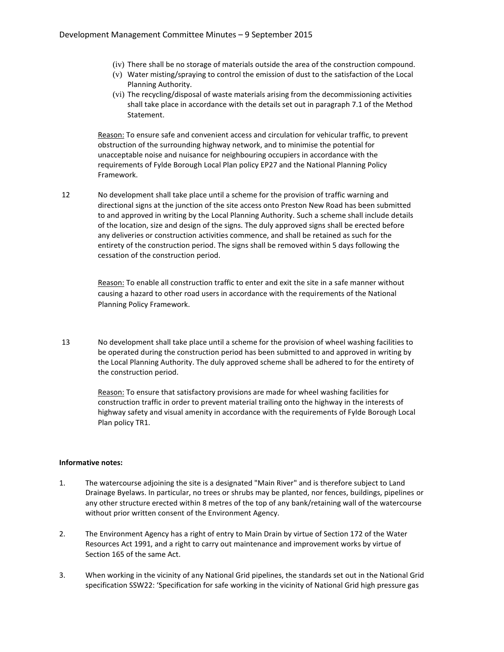- (iv) There shall be no storage of materials outside the area of the construction compound.
- (v) Water misting/spraying to control the emission of dust to the satisfaction of the Local Planning Authority.
- (vi) The recycling/disposal of waste materials arising from the decommissioning activities shall take place in accordance with the details set out in paragraph 7.1 of the Method Statement.

Reason: To ensure safe and convenient access and circulation for vehicular traffic, to prevent obstruction of the surrounding highway network, and to minimise the potential for unacceptable noise and nuisance for neighbouring occupiers in accordance with the requirements of Fylde Borough Local Plan policy EP27 and the National Planning Policy Framework.

12 No development shall take place until a scheme for the provision of traffic warning and directional signs at the junction of the site access onto Preston New Road has been submitted to and approved in writing by the Local Planning Authority. Such a scheme shall include details of the location, size and design of the signs. The duly approved signs shall be erected before any deliveries or construction activities commence, and shall be retained as such for the entirety of the construction period. The signs shall be removed within 5 days following the cessation of the construction period.

> Reason: To enable all construction traffic to enter and exit the site in a safe manner without causing a hazard to other road users in accordance with the requirements of the National Planning Policy Framework.

13 No development shall take place until a scheme for the provision of wheel washing facilities to be operated during the construction period has been submitted to and approved in writing by the Local Planning Authority. The duly approved scheme shall be adhered to for the entirety of the construction period.

> Reason: To ensure that satisfactory provisions are made for wheel washing facilities for construction traffic in order to prevent material trailing onto the highway in the interests of highway safety and visual amenity in accordance with the requirements of Fylde Borough Local Plan policy TR1.

#### **Informative notes:**

- 1. The watercourse adjoining the site is a designated "Main River" and is therefore subject to Land Drainage Byelaws. In particular, no trees or shrubs may be planted, nor fences, buildings, pipelines or any other structure erected within 8 metres of the top of any bank/retaining wall of the watercourse without prior written consent of the Environment Agency.
- 2. The Environment Agency has a right of entry to Main Drain by virtue of Section 172 of the Water Resources Act 1991, and a right to carry out maintenance and improvement works by virtue of Section 165 of the same Act.
- 3. When working in the vicinity of any National Grid pipelines, the standards set out in the National Grid specification SSW22: 'Specification for safe working in the vicinity of National Grid high pressure gas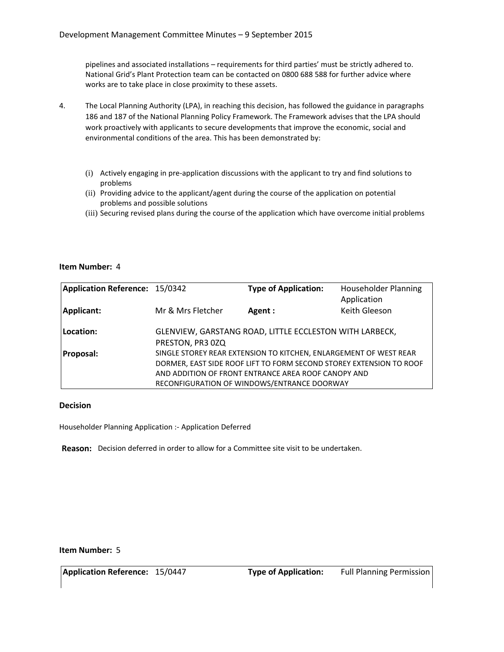pipelines and associated installations – requirements for third parties' must be strictly adhered to. National Grid's Plant Protection team can be contacted on 0800 688 588 for further advice where works are to take place in close proximity to these assets.

- 4. The Local Planning Authority (LPA), in reaching this decision, has followed the guidance in paragraphs 186 and 187 of the National Planning Policy Framework. The Framework advises that the LPA should work proactively with applicants to secure developments that improve the economic, social and environmental conditions of the area. This has been demonstrated by:
	- (i) Actively engaging in pre-application discussions with the applicant to try and find solutions to problems
	- (ii) Providing advice to the applicant/agent during the course of the application on potential problems and possible solutions
	- (iii) Securing revised plans during the course of the application which have overcome initial problems

#### **Item Number:** 4

| Application Reference: 15/0342 |                   | <b>Type of Application:</b>                                                                                                                                                                                                                    | <b>Householder Planning</b><br>Application |
|--------------------------------|-------------------|------------------------------------------------------------------------------------------------------------------------------------------------------------------------------------------------------------------------------------------------|--------------------------------------------|
| <b>Applicant:</b>              | Mr & Mrs Fletcher | Agent:                                                                                                                                                                                                                                         | Keith Gleeson                              |
| Location:                      | PRESTON, PR3 0ZQ  | GLENVIEW, GARSTANG ROAD, LITTLE ECCLESTON WITH LARBECK,                                                                                                                                                                                        |                                            |
| <b>Proposal:</b>               |                   | SINGLE STOREY REAR EXTENSION TO KITCHEN, ENLARGEMENT OF WEST REAR<br>DORMER, EAST SIDE ROOF LIFT TO FORM SECOND STOREY EXTENSION TO ROOF<br>AND ADDITION OF FRONT ENTRANCE AREA ROOF CANOPY AND<br>RECONFIGURATION OF WINDOWS/ENTRANCE DOORWAY |                                            |

#### **Decision**

Householder Planning Application :- Application Deferred

**Reason:** Decision deferred in order to allow for a Committee site visit to be undertaken.

#### **Item Number:** 5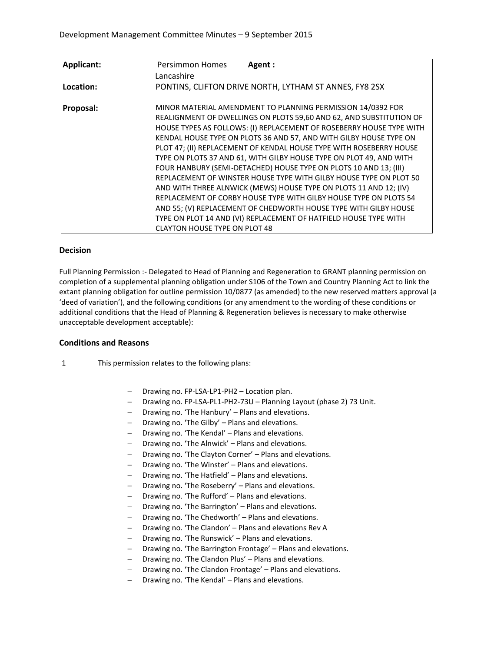| Applicant:       | <b>Persimmon Homes</b><br>Agent:<br>Lancashire                                                                                                                                                                                                                                                                                                                                                                                                                                                                                                                                                                                                                                                                                                                                                                                                                                                      |
|------------------|-----------------------------------------------------------------------------------------------------------------------------------------------------------------------------------------------------------------------------------------------------------------------------------------------------------------------------------------------------------------------------------------------------------------------------------------------------------------------------------------------------------------------------------------------------------------------------------------------------------------------------------------------------------------------------------------------------------------------------------------------------------------------------------------------------------------------------------------------------------------------------------------------------|
| Location:        | PONTINS, CLIFTON DRIVE NORTH, LYTHAM ST ANNES, FY8 2SX                                                                                                                                                                                                                                                                                                                                                                                                                                                                                                                                                                                                                                                                                                                                                                                                                                              |
| <b>Proposal:</b> | MINOR MATERIAL AMENDMENT TO PLANNING PERMISSION 14/0392 FOR<br>REALIGNMENT OF DWELLINGS ON PLOTS 59,60 AND 62, AND SUBSTITUTION OF<br>HOUSE TYPES AS FOLLOWS: (I) REPLACEMENT OF ROSEBERRY HOUSE TYPE WITH<br>KENDAL HOUSE TYPE ON PLOTS 36 AND 57, AND WITH GILBY HOUSE TYPE ON<br>PLOT 47; (II) REPLACEMENT OF KENDAL HOUSE TYPE WITH ROSEBERRY HOUSE<br>TYPE ON PLOTS 37 AND 61, WITH GILBY HOUSE TYPE ON PLOT 49, AND WITH<br>FOUR HANBURY (SEMI-DETACHED) HOUSE TYPE ON PLOTS 10 AND 13; (III)<br>REPLACEMENT OF WINSTER HOUSE TYPE WITH GILBY HOUSE TYPE ON PLOT 50<br>AND WITH THREE ALNWICK (MEWS) HOUSE TYPE ON PLOTS 11 AND 12; (IV)<br>REPLACEMENT OF CORBY HOUSE TYPE WITH GILBY HOUSE TYPE ON PLOTS 54<br>AND 55; (V) REPLACEMENT OF CHEDWORTH HOUSE TYPE WITH GILBY HOUSE<br>TYPE ON PLOT 14 AND (VI) REPLACEMENT OF HATFIELD HOUSE TYPE WITH<br><b>CLAYTON HOUSE TYPE ON PLOT 48</b> |

#### **Decision**

Full Planning Permission :- Delegated to Head of Planning and Regeneration to GRANT planning permission on completion of a supplemental planning obligation under S106 of the Town and Country Planning Act to link the extant planning obligation for outline permission 10/0877 (as amended) to the new reserved matters approval (a 'deed of variation'), and the following conditions (or any amendment to the wording of these conditions or additional conditions that the Head of Planning & Regeneration believes is necessary to make otherwise unacceptable development acceptable):

#### **Conditions and Reasons**

- 1 This permission relates to the following plans:
	- Drawing no. FP-LSA-LP1-PH2 Location plan.
	- Drawing no. FP-LSA-PL1-PH2-73U Planning Layout (phase 2) 73 Unit.
	- Drawing no. 'The Hanbury' Plans and elevations.
	- $-$  Drawing no. 'The Gilby'  $-$  Plans and elevations.
	- Drawing no. 'The Kendal' Plans and elevations.
	- Drawing no. 'The Alnwick' Plans and elevations.
	- Drawing no. 'The Clayton Corner' Plans and elevations.
	- Drawing no. 'The Winster' Plans and elevations.
	- Drawing no. 'The Hatfield' Plans and elevations.
	- Drawing no. 'The Roseberry' Plans and elevations.
	- Drawing no. 'The Rufford' Plans and elevations.
	- Drawing no. 'The Barrington' Plans and elevations.
	- Drawing no. 'The Chedworth' Plans and elevations.
	- $-$  Drawing no. 'The Clandon' Plans and elevations Rev A
	- Drawing no. 'The Runswick' Plans and elevations.
	- Drawing no. 'The Barrington Frontage' Plans and elevations.
	- Drawing no. 'The Clandon Plus' Plans and elevations.
	- Drawing no. 'The Clandon Frontage' Plans and elevations.
	- Drawing no. 'The Kendal' Plans and elevations.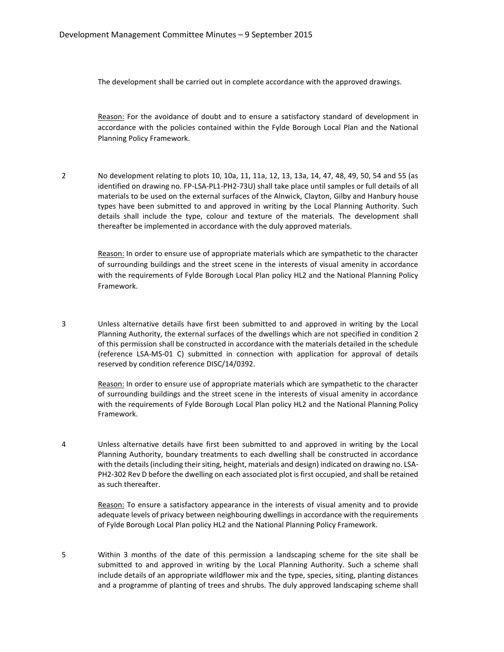The development shall be carried out in complete accordance with the approved drawings.

Reason: For the avoidance of doubt and to ensure a satisfactory standard of development in accordance with the policies contained within the Fylde Borough Local Plan and the National Planning Policy Framework.

2 No development relating to plots 10, 10a, 11, 11a, 12, 13, 13a, 14, 47, 48, 49, 50, 54 and 55 (as identified on drawing no. FP-LSA-PL1-PH2-73U) shall take place until samples or full details of all materials to be used on the external surfaces of the Alnwick, Clayton, Gilby and Hanbury house types have been submitted to and approved in writing by the Local Planning Authority. Such details shall include the type, colour and texture of the materials. The development shall thereafter be implemented in accordance with the duly approved materials.

> Reason: In order to ensure use of appropriate materials which are sympathetic to the character of surrounding buildings and the street scene in the interests of visual amenity in accordance with the requirements of Fylde Borough Local Plan policy HL2 and the National Planning Policy Framework.

3 Unless alternative details have first been submitted to and approved in writing by the Local Planning Authority, the external surfaces of the dwellings which are not specified in condition 2 of this permission shall be constructed in accordance with the materials detailed in the schedule (reference LSA-MS-01 C) submitted in connection with application for approval of details reserved by condition reference DISC/14/0392.

Reason: In order to ensure use of appropriate materials which are sympathetic to the character of surrounding buildings and the street scene in the interests of visual amenity in accordance with the requirements of Fylde Borough Local Plan policy HL2 and the National Planning Policy Framework.

4 Unless alternative details have first been submitted to and approved in writing by the Local Planning Authority, boundary treatments to each dwelling shall be constructed in accordance with the details (including their siting, height, materials and design) indicated on drawing no. LSA-PH2-302 Rev D before the dwelling on each associated plot is first occupied, and shall be retained as such thereafter.

> Reason: To ensure a satisfactory appearance in the interests of visual amenity and to provide adequate levels of privacy between neighbouring dwellings in accordance with the requirements of Fylde Borough Local Plan policy HL2 and the National Planning Policy Framework.

5 Within 3 months of the date of this permission a landscaping scheme for the site shall be submitted to and approved in writing by the Local Planning Authority. Such a scheme shall include details of an appropriate wildflower mix and the type, species, siting, planting distances and a programme of planting of trees and shrubs. The duly approved landscaping scheme shall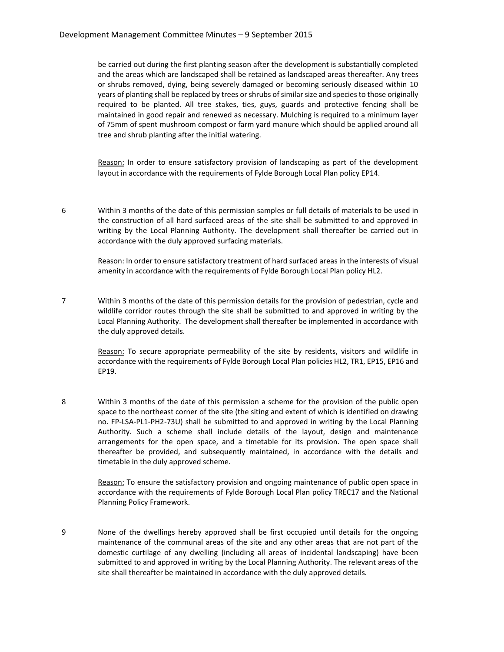be carried out during the first planting season after the development is substantially completed and the areas which are landscaped shall be retained as landscaped areas thereafter. Any trees or shrubs removed, dying, being severely damaged or becoming seriously diseased within 10 years of planting shall be replaced by trees or shrubs of similar size and species to those originally required to be planted. All tree stakes, ties, guys, guards and protective fencing shall be maintained in good repair and renewed as necessary. Mulching is required to a minimum layer of 75mm of spent mushroom compost or farm yard manure which should be applied around all tree and shrub planting after the initial watering.

Reason: In order to ensure satisfactory provision of landscaping as part of the development layout in accordance with the requirements of Fylde Borough Local Plan policy EP14.

6 Within 3 months of the date of this permission samples or full details of materials to be used in the construction of all hard surfaced areas of the site shall be submitted to and approved in writing by the Local Planning Authority. The development shall thereafter be carried out in accordance with the duly approved surfacing materials.

> Reason: In order to ensure satisfactory treatment of hard surfaced areas in the interests of visual amenity in accordance with the requirements of Fylde Borough Local Plan policy HL2.

7 Within 3 months of the date of this permission details for the provision of pedestrian, cycle and wildlife corridor routes through the site shall be submitted to and approved in writing by the Local Planning Authority. The development shall thereafter be implemented in accordance with the duly approved details.

> Reason: To secure appropriate permeability of the site by residents, visitors and wildlife in accordance with the requirements of Fylde Borough Local Plan policies HL2, TR1, EP15, EP16 and EP19.

8 Within 3 months of the date of this permission a scheme for the provision of the public open space to the northeast corner of the site (the siting and extent of which is identified on drawing no. FP-LSA-PL1-PH2-73U) shall be submitted to and approved in writing by the Local Planning Authority. Such a scheme shall include details of the layout, design and maintenance arrangements for the open space, and a timetable for its provision. The open space shall thereafter be provided, and subsequently maintained, in accordance with the details and timetable in the duly approved scheme.

> Reason: To ensure the satisfactory provision and ongoing maintenance of public open space in accordance with the requirements of Fylde Borough Local Plan policy TREC17 and the National Planning Policy Framework.

9 None of the dwellings hereby approved shall be first occupied until details for the ongoing maintenance of the communal areas of the site and any other areas that are not part of the domestic curtilage of any dwelling (including all areas of incidental landscaping) have been submitted to and approved in writing by the Local Planning Authority. The relevant areas of the site shall thereafter be maintained in accordance with the duly approved details.